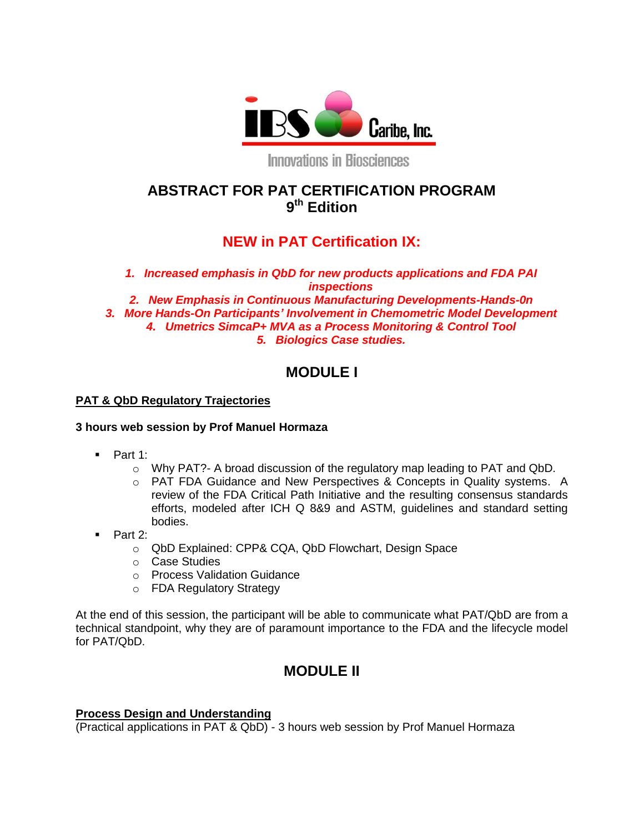

**Innovations in Biosciences** 

# **ABSTRACT FOR PAT CERTIFICATION PROGRAM 9 th Edition**

# **NEW in PAT Certification IX:**

*1. Increased emphasis in QbD for new products applications and FDA PAI inspections*

*2. New Emphasis in Continuous Manufacturing Developments-Hands-0n 3. More Hands-On Participants' Involvement in Chemometric Model Development 4. Umetrics SimcaP+ MVA as a Process Monitoring & Control Tool 5. Biologics Case studies.*

# **MODULE I**

### **PAT & QbD Regulatory Trajectories**

### **3 hours web session by Prof Manuel Hormaza**

- $\blacksquare$  Part 1:
	- o Why PAT?- A broad discussion of the regulatory map leading to PAT and QbD.
	- o PAT FDA Guidance and New Perspectives & Concepts in Quality systems. A review of the FDA Critical Path Initiative and the resulting consensus standards efforts, modeled after ICH Q 8&9 and ASTM, guidelines and standard setting bodies.
- Part 2:
	- o QbD Explained: CPP& CQA, QbD Flowchart, Design Space
	- o Case Studies
	- o Process Validation Guidance
	- o FDA Regulatory Strategy

At the end of this session, the participant will be able to communicate what PAT/QbD are from a technical standpoint, why they are of paramount importance to the FDA and the lifecycle model for PAT/QbD.

## **MODULE II**

### **Process Design and Understanding**

(Practical applications in PAT & QbD) - 3 hours web session by Prof Manuel Hormaza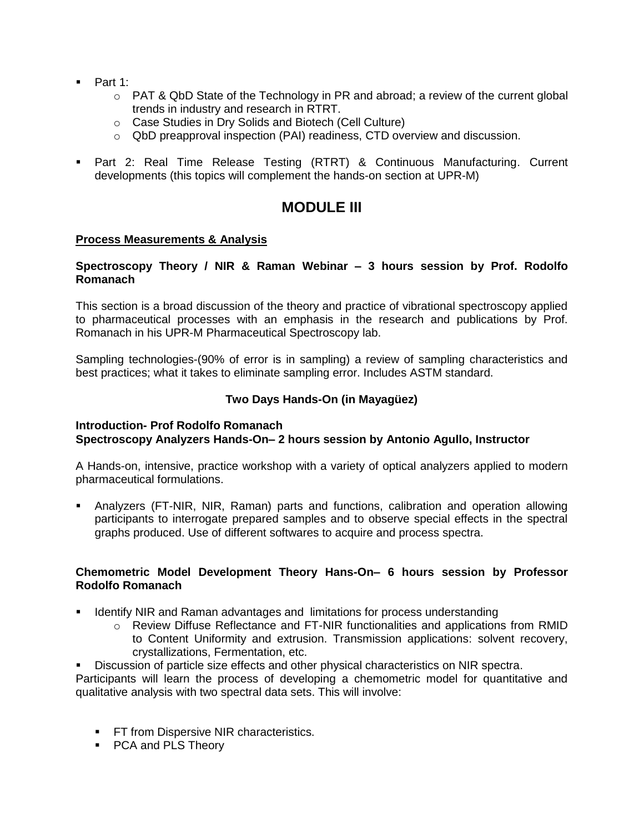- $\blacksquare$  Part 1:
	- $\circ$  PAT & QbD State of the Technology in PR and abroad; a review of the current global trends in industry and research in RTRT.
	- o Case Studies in Dry Solids and Biotech (Cell Culture)
	- o QbD preapproval inspection (PAI) readiness, CTD overview and discussion.
- Part 2: Real Time Release Testing (RTRT) & Continuous Manufacturing. Current developments (this topics will complement the hands-on section at UPR-M)

## **MODULE III**

### **Process Measurements & Analysis**

#### **Spectroscopy Theory / NIR & Raman Webinar – 3 hours session by Prof. Rodolfo Romanach**

This section is a broad discussion of the theory and practice of vibrational spectroscopy applied to pharmaceutical processes with an emphasis in the research and publications by Prof. Romanach in his UPR-M Pharmaceutical Spectroscopy lab.

Sampling technologies-(90% of error is in sampling) a review of sampling characteristics and best practices; what it takes to eliminate sampling error. Includes ASTM standard.

### **Two Days Hands-On (in Mayagüez)**

#### **Introduction- Prof Rodolfo Romanach Spectroscopy Analyzers Hands-On– 2 hours session by Antonio Agullo, Instructor**

A Hands-on, intensive, practice workshop with a variety of optical analyzers applied to modern pharmaceutical formulations.

 Analyzers (FT-NIR, NIR, Raman) parts and functions, calibration and operation allowing participants to interrogate prepared samples and to observe special effects in the spectral graphs produced. Use of different softwares to acquire and process spectra.

### **Chemometric Model Development Theory Hans-On– 6 hours session by Professor Rodolfo Romanach**

- **If Identify NIR and Raman advantages and limitations for process understanding** 
	- $\circ$  Review Diffuse Reflectance and FT-NIR functionalities and applications from RMID to Content Uniformity and extrusion. Transmission applications: solvent recovery, crystallizations, Fermentation, etc.
- Discussion of particle size effects and other physical characteristics on NIR spectra.

Participants will learn the process of developing a chemometric model for quantitative and qualitative analysis with two spectral data sets. This will involve:

- **FT from Dispersive NIR characteristics.**
- PCA and PLS Theory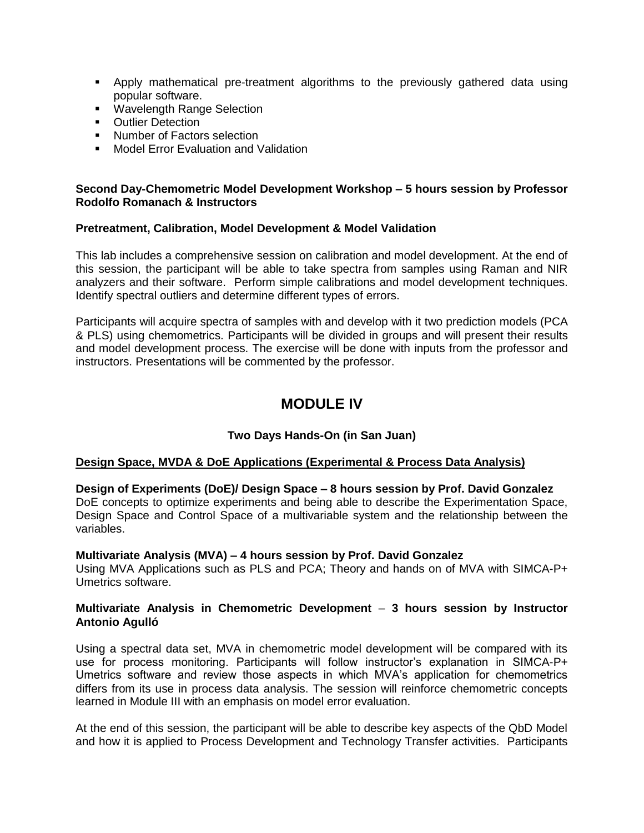- Apply mathematical pre-treatment algorithms to the previously gathered data using popular software.
- **Wavelength Range Selection**
- **•** Outlier Detection
- **Number of Factors selection**
- **Model Error Evaluation and Validation**

#### **Second Day-Chemometric Model Development Workshop – 5 hours session by Professor Rodolfo Romanach & Instructors**

#### **Pretreatment, Calibration, Model Development & Model Validation**

This lab includes a comprehensive session on calibration and model development. At the end of this session, the participant will be able to take spectra from samples using Raman and NIR analyzers and their software. Perform simple calibrations and model development techniques. Identify spectral outliers and determine different types of errors.

Participants will acquire spectra of samples with and develop with it two prediction models (PCA & PLS) using chemometrics. Participants will be divided in groups and will present their results and model development process. The exercise will be done with inputs from the professor and instructors. Presentations will be commented by the professor.

# **MODULE IV**

### **Two Days Hands-On (in San Juan)**

#### **Design Space, MVDA & DoE Applications (Experimental & Process Data Analysis)**

#### **Design of Experiments (DoE)/ Design Space – 8 hours session by Prof. David Gonzalez**

DoE concepts to optimize experiments and being able to describe the Experimentation Space, Design Space and Control Space of a multivariable system and the relationship between the variables.

#### **Multivariate Analysis (MVA) – 4 hours session by Prof. David Gonzalez**

Using MVA Applications such as PLS and PCA; Theory and hands on of MVA with SIMCA-P+ Umetrics software.

#### **Multivariate Analysis in Chemometric Development** – **3 hours session by Instructor Antonio Agulló**

Using a spectral data set, MVA in chemometric model development will be compared with its use for process monitoring. Participants will follow instructor's explanation in SIMCA-P+ Umetrics software and review those aspects in which MVA's application for chemometrics differs from its use in process data analysis. The session will reinforce chemometric concepts learned in Module III with an emphasis on model error evaluation.

At the end of this session, the participant will be able to describe key aspects of the QbD Model and how it is applied to Process Development and Technology Transfer activities. Participants